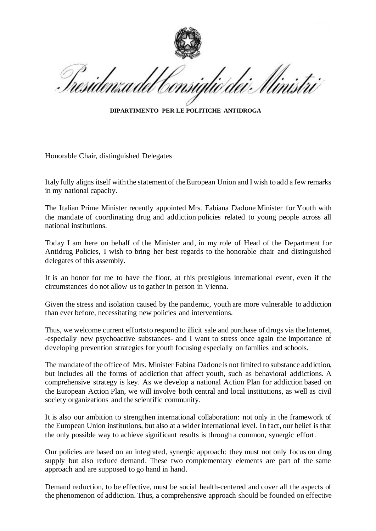llinistri

**DIPARTIMENTO PER LE POLITICHE ANTIDROGA**

Honorable Chair, distinguished Delegates

Italy fully aligns itself with the statement of the European Union and I wish to add a few remarks in my national capacity.

The Italian Prime Minister recently appointed Mrs. Fabiana Dadone Minister for Youth with the mandate of coordinating drug and addiction policies related to young people across all national institutions.

Today I am here on behalf of the Minister and, in my role of Head of the Department for Antidrug Policies, I wish to bring her best regards to the honorable chair and distinguished delegates of this assembly.

It is an honor for me to have the floor, at this prestigious international event, even if the circumstances do not allow us to gather in person in Vienna.

Given the stress and isolation caused by the pandemic, youth are more vulnerable to addiction than ever before, necessitating new policies and interventions.

Thus, we welcome current effortsto respond to illicit sale and purchase of drugs via the Internet, -especially new psychoactive substances- and I want to stress once again the importance of developing prevention strategies for youth focusing especially on families and schools.

The mandate of the office of Mrs. Minister Fabina Dadone is not limited to substance addiction, but includes all the forms of addiction that affect youth, such as behavioral addictions. A comprehensive strategy is key. As we develop a national Action Plan for addiction based on the European Action Plan, we will involve both central and local institutions, as well as civil society organizations and the scientific community.

It is also our ambition to strengthen international collaboration: not only in the framework of the European Union institutions, but also at a wider international level. In fact, our belief is that the only possible way to achieve significant results is through a common, synergic effort.

Our policies are based on an integrated, synergic approach: they must not only focus on drug supply but also reduce demand. These two complementary elements are part of the same approach and are supposed to go hand in hand.

Demand reduction, to be effective, must be social health-centered and cover all the aspects of the phenomenon of addiction. Thus, a comprehensive approach should be founded on effective